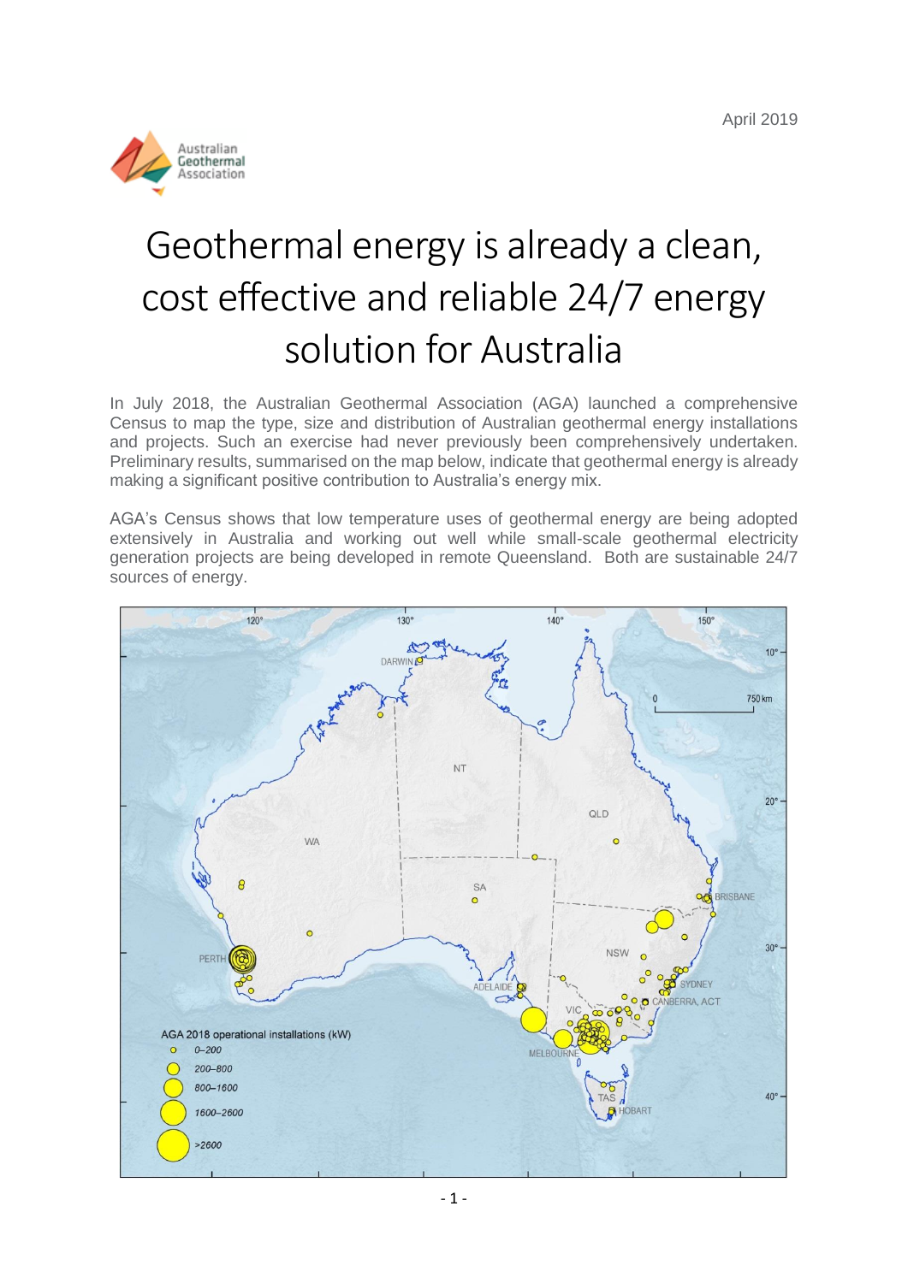

# Geothermal energy is already a clean, cost effective and reliable 24/7 energy solution for Australia

In July 2018, the Australian Geothermal Association (AGA) launched a comprehensive Census to map the type, size and distribution of Australian geothermal energy installations and projects. Such an exercise had never previously been comprehensively undertaken. Preliminary results, summarised on the map below, indicate that geothermal energy is already making a significant positive contribution to Australia's energy mix.

AGA's Census shows that low temperature uses of geothermal energy are being adopted extensively in Australia and working out well while small-scale geothermal electricity generation projects are being developed in remote Queensland. Both are sustainable 24/7 sources of energy.

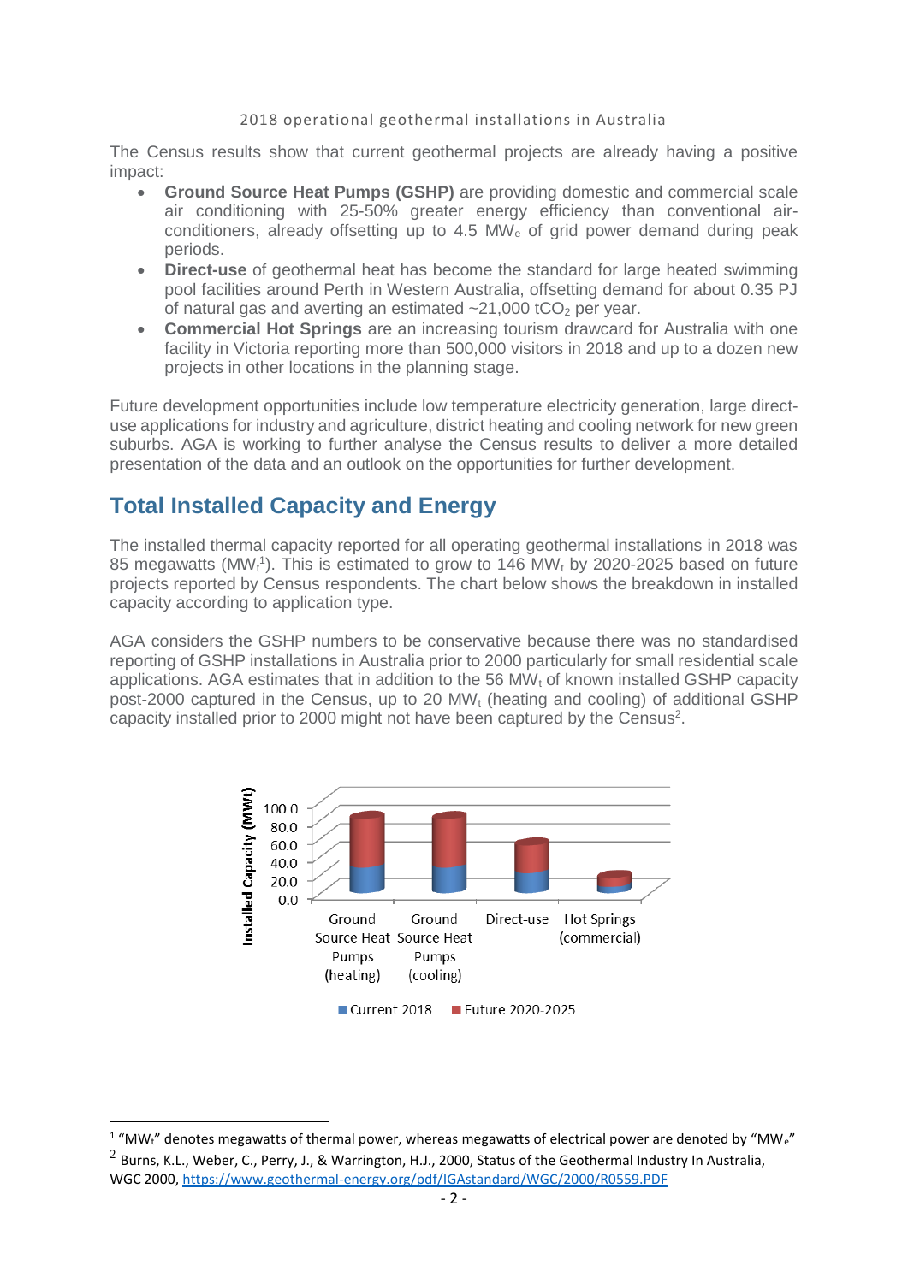#### 2018 operational geothermal installations in Australia

The Census results show that current geothermal projects are already having a positive impact:

- **Ground Source Heat Pumps (GSHP)** are providing domestic and commercial scale air conditioning with 25-50% greater energy efficiency than conventional airconditioners, already offsetting up to 4.5 MW<sup>e</sup> of grid power demand during peak periods.
- **Direct-use** of geothermal heat has become the standard for large heated swimming pool facilities around Perth in Western Australia, offsetting demand for about 0.35 PJ of natural gas and averting an estimated  $\approx$  21,000 tCO<sub>2</sub> per year.
- **Commercial Hot Springs** are an increasing tourism drawcard for Australia with one facility in Victoria reporting more than 500,000 visitors in 2018 and up to a dozen new projects in other locations in the planning stage.

Future development opportunities include low temperature electricity generation, large directuse applications for industry and agriculture, district heating and cooling network for new green suburbs. AGA is working to further analyse the Census results to deliver a more detailed presentation of the data and an outlook on the opportunities for further development.

## **Total Installed Capacity and Energy**

1

The installed thermal capacity reported for all operating geothermal installations in 2018 was 85 megawatts (MW $<sub>t</sub>$ <sup>1</sup>). This is estimated to grow to 146 MW $<sub>t</sub>$  by 2020-2025 based on future</sub></sub> projects reported by Census respondents. The chart below shows the breakdown in installed capacity according to application type.

AGA considers the GSHP numbers to be conservative because there was no standardised reporting of GSHP installations in Australia prior to 2000 particularly for small residential scale applications. AGA estimates that in addition to the 56 MW<sub>t</sub> of known installed GSHP capacity post-2000 captured in the Census, up to 20 MW<sup>t</sup> (heating and cooling) of additional GSHP capacity installed prior to 2000 might not have been captured by the Census<sup>2</sup>.



 $1$  "MW<sub>t</sub>" denotes megawatts of thermal power, whereas megawatts of electrical power are denoted by "MW<sub>e</sub>"

 $^2$  Burns, K.L., Weber, C., Perry, J., & Warrington, H.J., 2000, Status of the Geothermal Industry In Australia, WGC 2000,<https://www.geothermal-energy.org/pdf/IGAstandard/WGC/2000/R0559.PDF>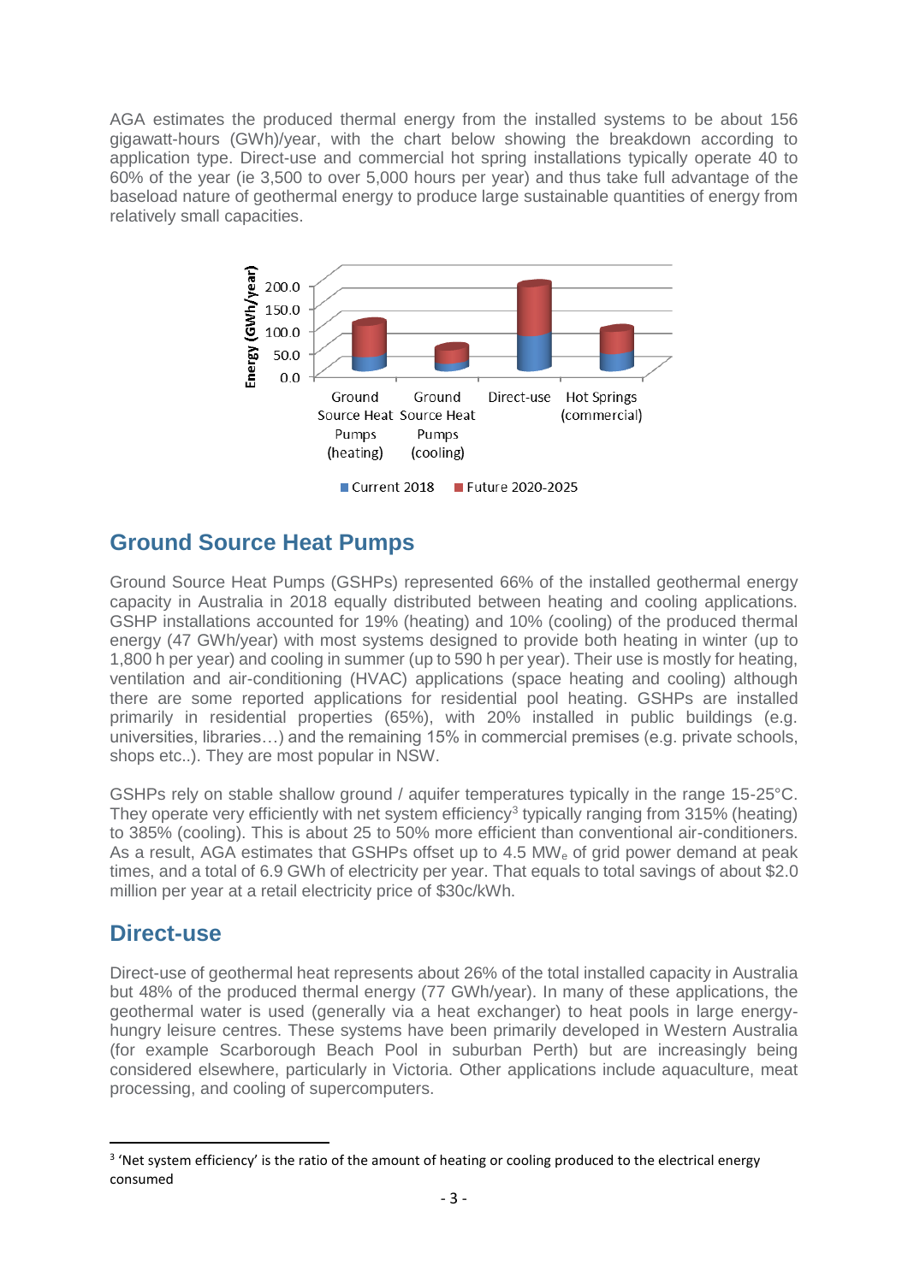AGA estimates the produced thermal energy from the installed systems to be about 156 gigawatt-hours (GWh)/year, with the chart below showing the breakdown according to application type. Direct-use and commercial hot spring installations typically operate 40 to 60% of the year (ie 3,500 to over 5,000 hours per year) and thus take full advantage of the baseload nature of geothermal energy to produce large sustainable quantities of energy from relatively small capacities.



## **Ground Source Heat Pumps**

Ground Source Heat Pumps (GSHPs) represented 66% of the installed geothermal energy capacity in Australia in 2018 equally distributed between heating and cooling applications. GSHP installations accounted for 19% (heating) and 10% (cooling) of the produced thermal energy (47 GWh/year) with most systems designed to provide both heating in winter (up to 1,800 h per year) and cooling in summer (up to 590 h per year). Their use is mostly for heating, ventilation and air-conditioning (HVAC) applications (space heating and cooling) although there are some reported applications for residential pool heating. GSHPs are installed primarily in residential properties (65%), with 20% installed in public buildings (e.g. universities, libraries…) and the remaining 15% in commercial premises (e.g. private schools, shops etc..). They are most popular in NSW.

GSHPs rely on stable shallow ground / aquifer temperatures typically in the range 15-25°C. They operate very efficiently with net system efficiency<sup>3</sup> typically ranging from 315% (heating) to 385% (cooling). This is about 25 to 50% more efficient than conventional air-conditioners. As a result, AGA estimates that GSHPs offset up to 4.5  $MW<sub>e</sub>$  of grid power demand at peak times, and a total of 6.9 GWh of electricity per year. That equals to total savings of about \$2.0 million per year at a retail electricity price of \$30c/kWh.

## **Direct-use**

1

Direct-use of geothermal heat represents about 26% of the total installed capacity in Australia but 48% of the produced thermal energy (77 GWh/year). In many of these applications, the geothermal water is used (generally via a heat exchanger) to heat pools in large energyhungry leisure centres. These systems have been primarily developed in Western Australia (for example Scarborough Beach Pool in suburban Perth) but are increasingly being considered elsewhere, particularly in Victoria. Other applications include aquaculture, meat processing, and cooling of supercomputers.

<sup>&</sup>lt;sup>3</sup> 'Net system efficiency' is the ratio of the amount of heating or cooling produced to the electrical energy consumed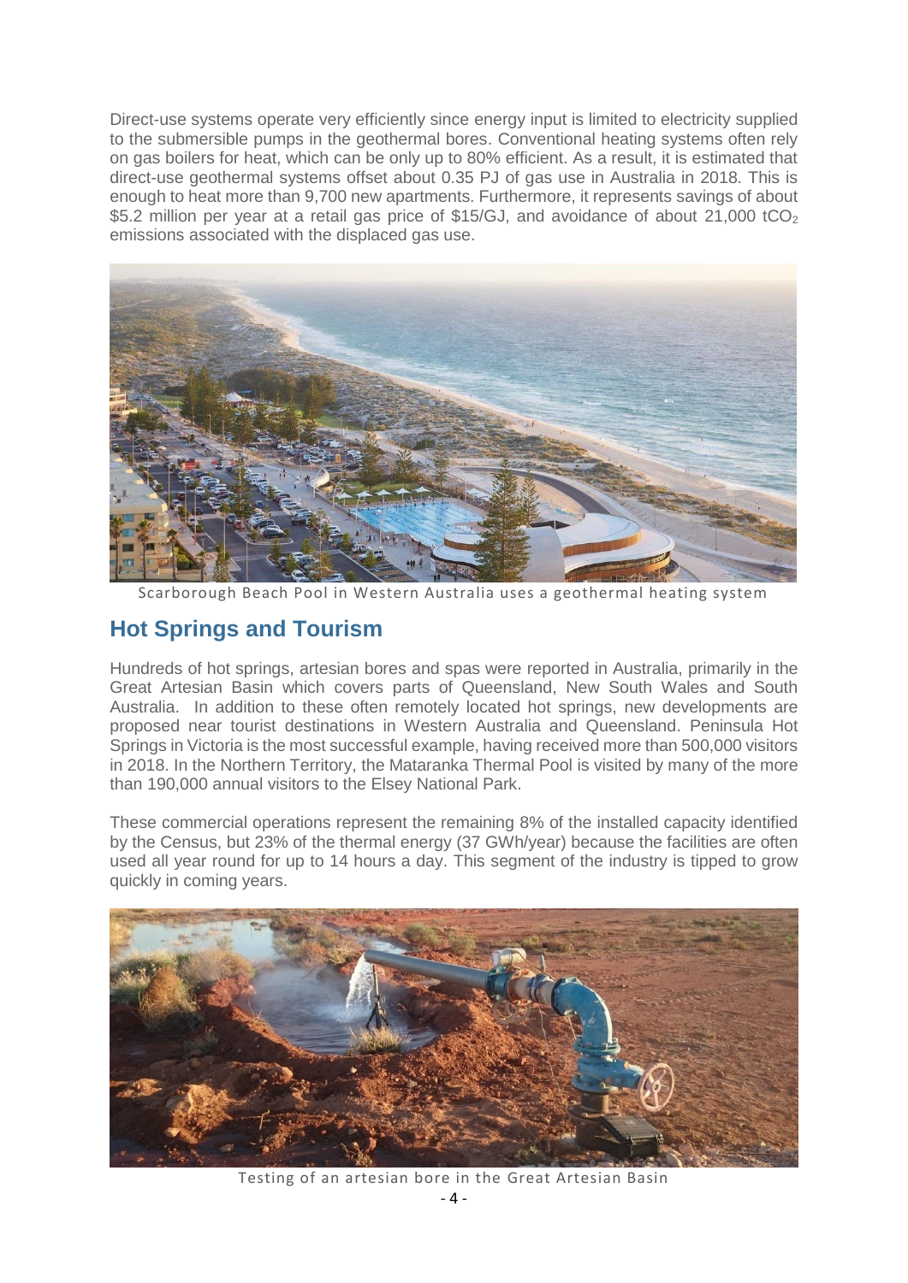Direct-use systems operate very efficiently since energy input is limited to electricity supplied to the submersible pumps in the geothermal bores. Conventional heating systems often rely on gas boilers for heat, which can be only up to 80% efficient. As a result, it is estimated that direct-use geothermal systems offset about 0.35 PJ of gas use in Australia in 2018. This is enough to heat more than 9,700 new apartments. Furthermore, it represents savings of about \$5.2 million per year at a retail gas price of \$15/GJ, and avoidance of about 21,000 tCO<sub>2</sub> emissions associated with the displaced gas use.



Scarborough Beach Pool in Western Australia uses a geothermal heating system

## **Hot Springs and Tourism**

Hundreds of hot springs, artesian bores and spas were reported in Australia, primarily in the Great Artesian Basin which covers parts of Queensland, New South Wales and South Australia. In addition to these often remotely located hot springs, new developments are proposed near tourist destinations in Western Australia and Queensland. Peninsula Hot Springs in Victoria is the most successful example, having received more than 500,000 visitors in 2018. In the Northern Territory, the Mataranka Thermal Pool is visited by many of the more than 190,000 annual visitors to the Elsey National Park.

These commercial operations represent the remaining 8% of the installed capacity identified by the Census, but 23% of the thermal energy (37 GWh/year) because the facilities are often used all year round for up to 14 hours a day. This segment of the industry is tipped to grow quickly in coming years.



Testing of an artesian bore in the Great Artesian Basin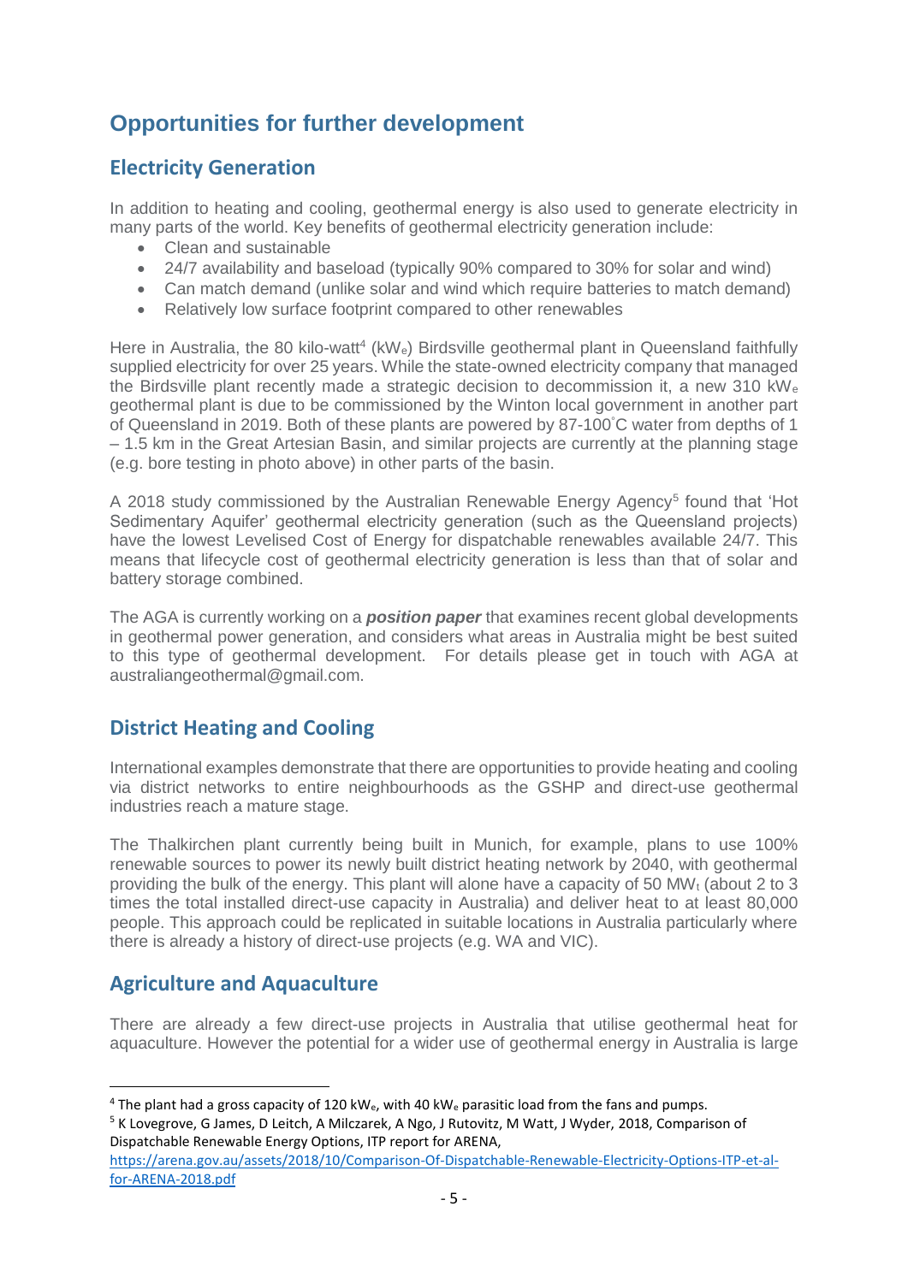## **Opportunities for further development**

## **Electricity Generation**

In addition to heating and cooling, geothermal energy is also used to generate electricity in many parts of the world. Key benefits of geothermal electricity generation include:

- Clean and sustainable
- 24/7 availability and baseload (typically 90% compared to 30% for solar and wind)
- Can match demand (unlike solar and wind which require batteries to match demand)
- Relatively low surface footprint compared to other renewables

Here in Australia, the 80 kilo-watt<sup>4</sup> (kWe) Birdsville geothermal plant in Queensland faithfully supplied electricity for over 25 years. While the state-owned electricity company that managed the Birdsville plant recently made a strategic decision to decommission it, a new 310 kW<sup>e</sup> geothermal plant is due to be commissioned by the Winton local government in another part of Queensland in 2019. Both of these plants are powered by 87-100°C water from depths of 1 – 1.5 km in the Great Artesian Basin, and similar projects are currently at the planning stage (e.g. bore testing in photo above) in other parts of the basin.

A 2018 study commissioned by the Australian Renewable Energy Agency<sup>5</sup> found that 'Hot Sedimentary Aquifer' geothermal electricity generation (such as the Queensland projects) have the lowest Levelised Cost of Energy for dispatchable renewables available 24/7. This means that lifecycle cost of geothermal electricity generation is less than that of solar and battery storage combined.

The AGA is currently working on a *position paper* that examines recent global developments in geothermal power generation, and considers what areas in Australia might be best suited to this type of geothermal development. For details please get in touch with AGA at australiangeothermal@gmail.com.

## **District Heating and Cooling**

International examples demonstrate that there are opportunities to provide heating and cooling via district networks to entire neighbourhoods as the GSHP and direct-use geothermal industries reach a mature stage.

The Thalkirchen plant currently being built in Munich, for example, plans to use 100% renewable sources to power its newly built district heating network by 2040, with geothermal providing the bulk of the energy. This plant will alone have a capacity of 50 MW $_t$  (about 2 to 3 times the total installed direct-use capacity in Australia) and deliver heat to at least 80,000 people. This approach could be replicated in suitable locations in Australia particularly where there is already a history of direct-use projects (e.g. WA and VIC).

## **Agriculture and Aquaculture**

**.** 

There are already a few direct-use projects in Australia that utilise geothermal heat for aquaculture. However the potential for a wider use of geothermal energy in Australia is large

<sup>&</sup>lt;sup>4</sup> The plant had a gross capacity of 120 kW<sub>e</sub>, with 40 kW<sub>e</sub> parasitic load from the fans and pumps. <sup>5</sup> K Lovegrove, G James, D Leitch, A Milczarek, A Ngo, J Rutovitz, M Watt, J Wyder, 2018, Comparison of Dispatchable Renewable Energy Options, ITP report for ARENA,

[https://arena.gov.au/assets/2018/10/Comparison-Of-Dispatchable-Renewable-Electricity-Options-ITP-et-al](https://arena.gov.au/assets/2018/10/Comparison-Of-Dispatchable-Renewable-Electricity-Options-ITP-et-al-for-ARENA-2018.pdf)[for-ARENA-2018.pdf](https://arena.gov.au/assets/2018/10/Comparison-Of-Dispatchable-Renewable-Electricity-Options-ITP-et-al-for-ARENA-2018.pdf)